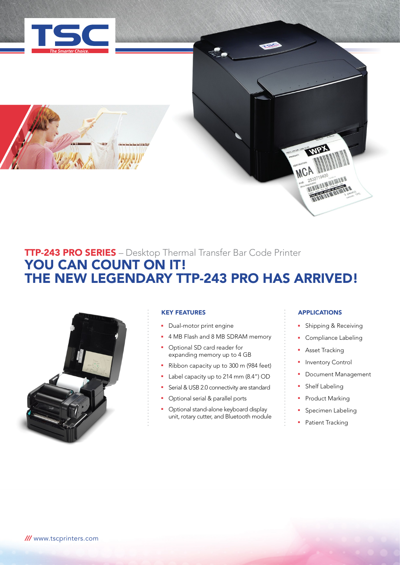

# TTP-243 PRO SERIES – Desktop Thermal Transfer Bar Code Printer YOU CAN COUNT ON IT! THE NEW LEGENDARY TTP-243 PRO HAS ARRIVED!



# KEY FEATURES

- Dual-motor print engine
- **4 MB Flash and 8 MB SDRAM memory**
- **•** Optional SD card reader for expanding memory up to 4 GB
- Ribbon capacity up to 300 m (984 feet)
- Label capacity up to 214 mm (8.4") OD
- Serial & USB 2.0 connectivity are standard
- Optional serial & parallel ports
- <sup>n</sup> Optional stand-alone keyboard display unit, rotary cutter, and Bluetooth module

# APPLICATIONS

MCP

RESIDENCE AND NO SERVICE AND NOTES

- **B** Shipping & Receiving
- **•** Compliance Labeling
- **Asset Tracking**
- Inventory Control
- **•** Document Management
- Shelf Labeling
- Product Marking
- Specimen Labeling
- Patient Tracking